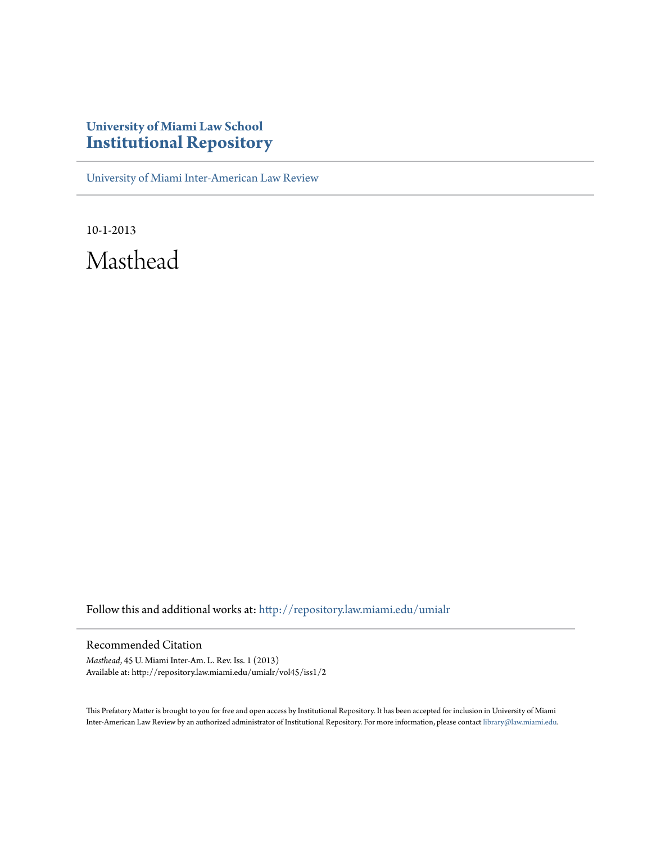## **University of Miami Law School [Institutional Repository](http://repository.law.miami.edu?utm_source=repository.law.miami.edu%2Fumialr%2Fvol45%2Fiss1%2F2&utm_medium=PDF&utm_campaign=PDFCoverPages)**

[University of Miami Inter-American Law Review](http://repository.law.miami.edu/umialr?utm_source=repository.law.miami.edu%2Fumialr%2Fvol45%2Fiss1%2F2&utm_medium=PDF&utm_campaign=PDFCoverPages)

10-1-2013 Masthead

Follow this and additional works at: [http://repository.law.miami.edu/umialr](http://repository.law.miami.edu/umialr?utm_source=repository.law.miami.edu%2Fumialr%2Fvol45%2Fiss1%2F2&utm_medium=PDF&utm_campaign=PDFCoverPages)

## Recommended Citation

*Masthead*, 45 U. Miami Inter-Am. L. Rev. Iss. 1 (2013) Available at: http://repository.law.miami.edu/umialr/vol45/iss1/2

This Prefatory Matter is brought to you for free and open access by Institutional Repository. It has been accepted for inclusion in University of Miami Inter-American Law Review by an authorized administrator of Institutional Repository. For more information, please contact [library@law.miami.edu](mailto:library@law.miami.edu).